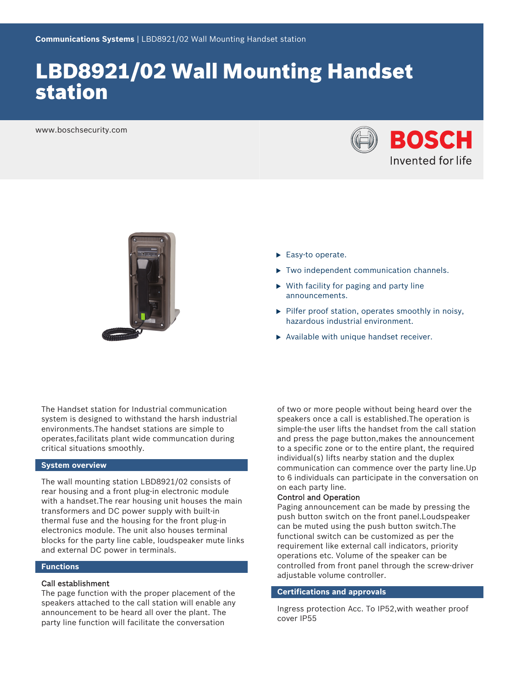# LBD8921/02 Wall Mounting Handset station

www.boschsecurity.com





- $\blacktriangleright$  Easy-to operate.
- $\triangleright$  Two independent communication channels.
- $\triangleright$  With facility for paging and party line announcements.
- $\blacktriangleright$  Pilfer proof station, operates smoothly in noisy, hazardous industrial environment.
- $\triangleright$  Available with unique handset receiver.

The Handset station for Industrial communication system is designed to withstand the harsh industrial environments.The handset stations are simple to operates,facilitats plant wide communcation during critical situations smoothly.

#### **System overview**

The wall mounting station LBD8921/02 consists of rear housing and a front plug-in electronic module with a handset.The rear housing unit houses the main transformers and DC power supply with built-in thermal fuse and the housing for the front plug-in electronics module. The unit also houses terminal blocks for the party line cable, loudspeaker mute links and external DC power in terminals.

#### **Functions**

#### Call establishment

The page function with the proper placement of the speakers attached to the call station will enable any announcement to be heard all over the plant. The party line function will facilitate the conversation

of two or more people without being heard over the speakers once a call is established.The operation is simple-the user lifts the handset from the call station and press the page button,makes the announcement to a specific zone or to the entire plant, the required individual(s) lifts nearby station and the duplex communication can commence over the party line.Up to 6 individuals can participate in the conversation on on each party line.

#### Control and Operation

Paging announcement can be made by pressing the push button switch on the front panel.Loudspeaker can be muted using the push button switch.The functional switch can be customized as per the requirement like external call indicators, priority operations etc. Volume of the speaker can be controlled from front panel through the screw-driver adjustable volume controller.

### **Certifications and approvals**

Ingress protection Acc. To IP52,with weather proof cover IP55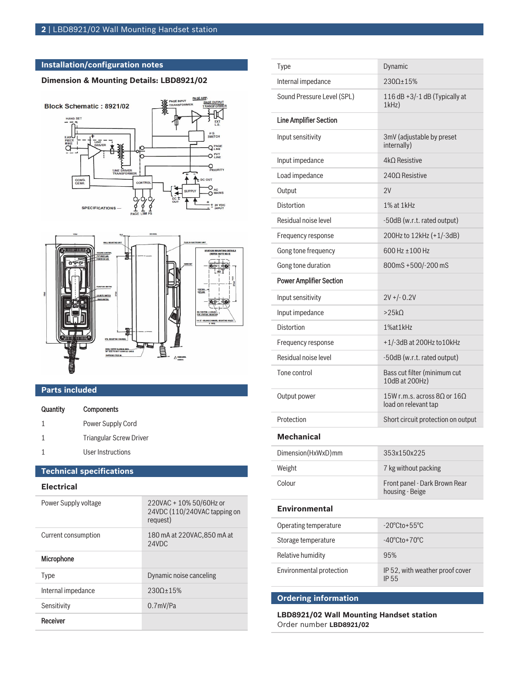## **Installation/configuration notes**

## **Dimension & Mounting Details: LBD8921/02**





# **Parts included**

| Quantity | <b>Components</b>       |
|----------|-------------------------|
| 1        | Power Supply Cord       |
| 1        | Triangular Screw Driver |
|          | User Instructions       |

# **Technical specifications**

| <b>Electrical</b>    |                                                                     |
|----------------------|---------------------------------------------------------------------|
| Power Supply voltage | 220VAC + 10% 50/60Hz or<br>24VDC (110/240VAC tapping on<br>request) |
| Current consumption  | 180 mA at 220VAC, 850 mA at<br>24VDC                                |
| <b>Microphone</b>    |                                                                     |
| Type                 | Dynamic noise canceling                                             |
| Internal impedance   | $2300+15%$                                                          |
| Sensitivity          | $0.7$ mV/Pa                                                         |
| Receiver             |                                                                     |

| <b>Type</b>                    | Dynamic                                                             |
|--------------------------------|---------------------------------------------------------------------|
| Internal impedance             | 2300+15%                                                            |
| Sound Pressure Level (SPL)     | 116 dB +3/-1 dB (Typically at<br>1kHz                               |
| <b>Line Amplifier Section</b>  |                                                                     |
| Input sensitivity              | 3mV (adjustable by preset<br>internally)                            |
| Input impedance                | 4kΩ Resistive                                                       |
| Load impedance                 | 2400 Resistive                                                      |
| Output                         | 2V                                                                  |
| Distortion                     | 1% at 1kHz                                                          |
| Residual noise level           | -50dB (w.r.t. rated output)                                         |
| Frequency response             | 200Hz to 12kHz (+1/-3dB)                                            |
| Gong tone frequency            | 600 Hz ± 100 Hz                                                     |
| Gong tone duration             | 800mS +500/-200 mS                                                  |
| <b>Power Amplifier Section</b> |                                                                     |
| Input sensitivity              | $2V + (-0.2V)$                                                      |
| Input impedance                | >25k                                                                |
| Distortion                     | 1%at1kHz                                                            |
| Frequency response             | +1/-3dB at 200Hz to 10kHz                                           |
| Residual noise level           | -50dB (w.r.t. rated output)                                         |
| Tone control                   | Bass cut filter (minimum cut<br>10dB at 200Hz)                      |
| Output power                   | 15W r.m.s. across 8 $\Omega$ or 16 $\Omega$<br>load on relevant tap |
| Protection                     | Short circuit protection on output                                  |
| Mechanical                     |                                                                     |
| Dimension(HxWxD)mm             | 353x150x225                                                         |
| Weight                         | 7 kg without packing                                                |
| Colour                         | Front panel - Dark Brown Rear<br>housing - Beige                    |
| <b>Environmental</b>           |                                                                     |
| Operating temperature          | $-20^{\circ}$ Cto+55 $^{\circ}$ C                                   |
| Storage temperature            | $-40^{\circ}$ Cto + $70^{\circ}$ C                                  |
| Relative humidity              | 95%                                                                 |
| Environmental protection       | IP 52, with weather proof cover<br>IP 55                            |
| <b>Ordering information</b>    |                                                                     |

**LBD8921/02 Wall Mounting Handset station** Order number **LBD8921/02**